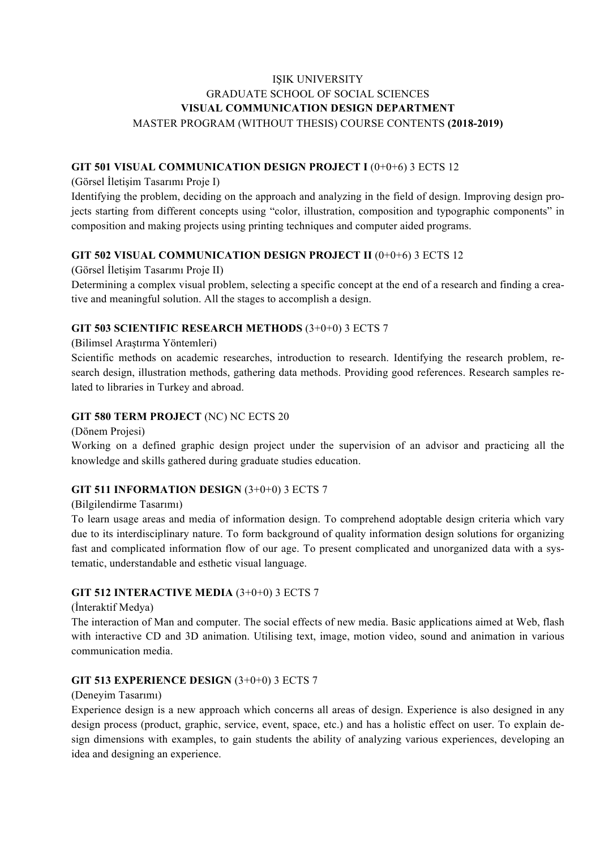# IŞIK UNIVERSITY GRADUATE SCHOOL OF SOCIAL SCIENCES **VISUAL COMMUNICATION DESIGN DEPARTMENT** MASTER PROGRAM (WITHOUT THESIS) COURSE CONTENTS **(2018-2019)**

#### **GIT 501 VISUAL COMMUNICATION DESIGN PROJECT I** (0+0+6) 3 ECTS 12

(Görsel İletişim Tasarımı Proje I)

Identifying the problem, deciding on the approach and analyzing in the field of design. Improving design projects starting from different concepts using "color, illustration, composition and typographic components" in composition and making projects using printing techniques and computer aided programs.

#### **GIT 502 VISUAL COMMUNICATION DESIGN PROJECT II** (0+0+6) 3 ECTS 12

(Görsel İletişim Tasarımı Proje II)

Determining a complex visual problem, selecting a specific concept at the end of a research and finding a creative and meaningful solution. All the stages to accomplish a design.

#### **GIT 503 SCIENTIFIC RESEARCH METHODS** (3+0+0) 3 ECTS 7

(Bilimsel Araştırma Yöntemleri)

Scientific methods on academic researches, introduction to research. Identifying the research problem, research design, illustration methods, gathering data methods. Providing good references. Research samples related to libraries in Turkey and abroad.

#### **GIT 580 TERM PROJECT** (NC) NC ECTS 20

(Dönem Projesi)

Working on a defined graphic design project under the supervision of an advisor and practicing all the knowledge and skills gathered during graduate studies education.

### **GIT 511 INFORMATION DESIGN** (3+0+0) 3 ECTS 7

(Bilgilendirme Tasarımı)

To learn usage areas and media of information design. To comprehend adoptable design criteria which vary due to its interdisciplinary nature. To form background of quality information design solutions for organizing fast and complicated information flow of our age. To present complicated and unorganized data with a systematic, understandable and esthetic visual language.

#### **GIT 512 INTERACTIVE MEDIA** (3+0+0) 3 ECTS 7

(İnteraktif Medya)

The interaction of Man and computer. The social effects of new media. Basic applications aimed at Web, flash with interactive CD and 3D animation. Utilising text, image, motion video, sound and animation in various communication media.

#### **GIT 513 EXPERIENCE DESIGN** (3+0+0) 3 ECTS 7

#### (Deneyim Tasarımı)

Experience design is a new approach which concerns all areas of design. Experience is also designed in any design process (product, graphic, service, event, space, etc.) and has a holistic effect on user. To explain design dimensions with examples, to gain students the ability of analyzing various experiences, developing an idea and designing an experience.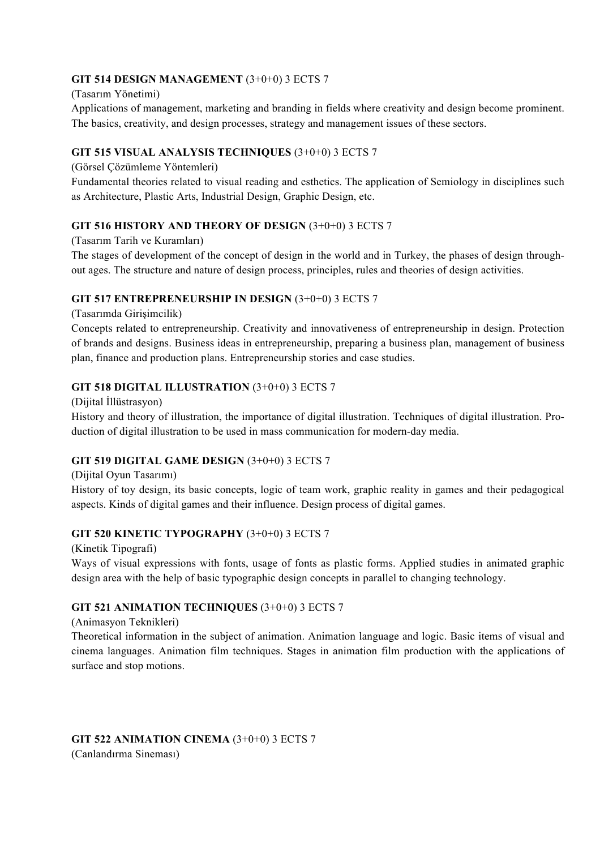## **GIT 514 DESIGN MANAGEMENT** (3+0+0) 3 ECTS 7

(Tasarım Yönetimi)

Applications of management, marketing and branding in fields where creativity and design become prominent. The basics, creativity, and design processes, strategy and management issues of these sectors.

# **GIT 515 VISUAL ANALYSIS TECHNIQUES** (3+0+0) 3 ECTS 7

(Görsel Çözümleme Yöntemleri)

Fundamental theories related to visual reading and esthetics. The application of Semiology in disciplines such as Architecture, Plastic Arts, Industrial Design, Graphic Design, etc.

# **GIT 516 HISTORY AND THEORY OF DESIGN** (3+0+0) 3 ECTS 7

(Tasarım Tarih ve Kuramları)

The stages of development of the concept of design in the world and in Turkey, the phases of design throughout ages. The structure and nature of design process, principles, rules and theories of design activities.

### **GIT 517 ENTREPRENEURSHIP IN DESIGN** (3+0+0) 3 ECTS 7

(Tasarımda Girişimcilik)

Concepts related to entrepreneurship. Creativity and innovativeness of entrepreneurship in design. Protection of brands and designs. Business ideas in entrepreneurship, preparing a business plan, management of business plan, finance and production plans. Entrepreneurship stories and case studies.

# **GIT 518 DIGITAL ILLUSTRATION** (3+0+0) 3 ECTS 7

(Dijital İllüstrasyon) History and theory of illustration, the importance of digital illustration. Techniques of digital illustration. Production of digital illustration to be used in mass communication for modern-day media.

# **GIT 519 DIGITAL GAME DESIGN** (3+0+0) 3 ECTS 7

(Dijital Oyun Tasarımı)

History of toy design, its basic concepts, logic of team work, graphic reality in games and their pedagogical aspects. Kinds of digital games and their influence. Design process of digital games.

### **GIT 520 KINETIC TYPOGRAPHY** (3+0+0) 3 ECTS 7

(Kinetik Tipografi) Ways of visual expressions with fonts, usage of fonts as plastic forms. Applied studies in animated graphic design area with the help of basic typographic design concepts in parallel to changing technology.

# **GIT 521 ANIMATION TECHNIQUES** (3+0+0) 3 ECTS 7

(Animasyon Teknikleri)

Theoretical information in the subject of animation. Animation language and logic. Basic items of visual and cinema languages. Animation film techniques. Stages in animation film production with the applications of surface and stop motions.

### **GIT 522 ANIMATION CINEMA** (3+0+0) 3 ECTS 7

(Canlandırma Sineması)